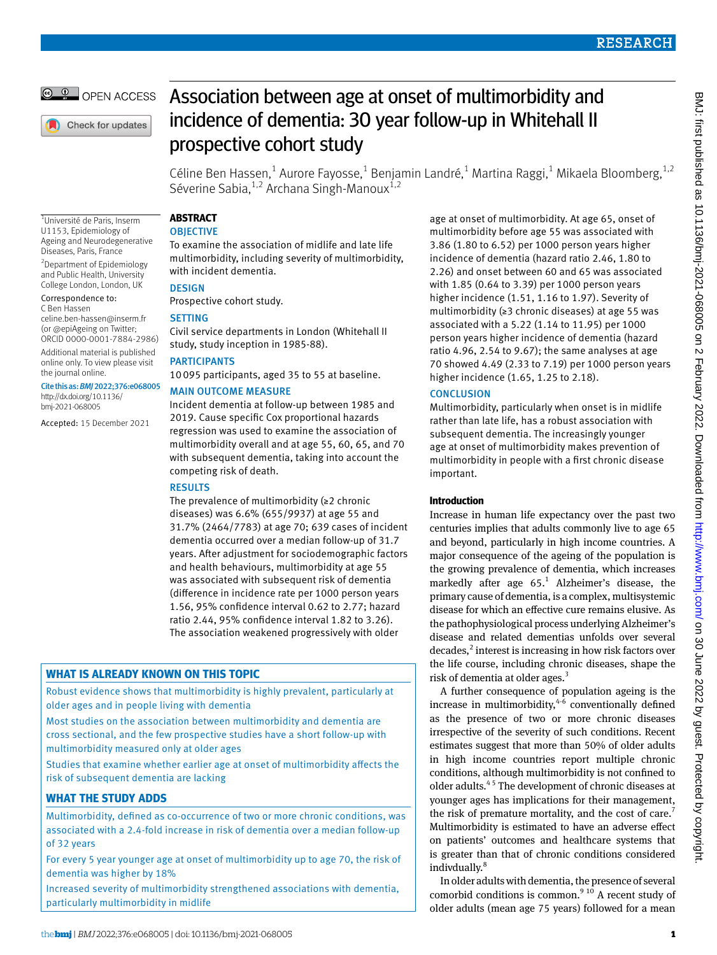

Check for updates

# Association between age at onset of multimorbidity and incidence of dementia: 30 year follow-up in Whitehall II prospective cohort study

Céline Ben Hassen,<sup>1</sup> Aurore Fayosse,<sup>1</sup> Benjamin Landré,<sup>1</sup> Martina Raggi,<sup>1</sup> Mikaela Bloomberg,<sup>1,2</sup> Séverine Sabia,  $1,2$  Archana Singh-Manoux $1,2$ 

1 Université de Paris, Inserm U1153, Epidemiology of Ageing and Neurodegenerative Diseases, Paris, France

2 Department of Epidemiology and Public Health, University College London, London, UK

#### Correspondence to: C Ben Hassen

[celine.ben-hassen@inserm.fr](mailto:celine.ben-hassen@inserm.fr) (or [@epiAgeing](https://twitter.com/epiAgeing) on Twitter; ORCID [0000-0001-7884-2986\)](https://orcid.org/0000-0001-7884-2986)

Additional material is published online only. To view please visit the journal online.

Cite this as: *BMJ*2022;376:e068005 [http://dx.doi.org/10.1136/](https://dx.doi.org/10.1136/bmj-2021-068005) [bmj-2021-068005](https://dx.doi.org/10.1136/bmj-2021-068005)

Accepted: 15 December 2021

**Abstract**

## **OBJECTIVE**

To examine the association of midlife and late life multimorbidity, including severity of multimorbidity, with incident dementia.

## **DESIGN**

Prospective cohort study.

## **SETTING**

Civil service departments in London (Whitehall II study, study inception in 1985-88).

## **PARTICIPANTS**

10095 participants, aged 35 to 55 at baseline.

## Main outcome measure

Incident dementia at follow-up between 1985 and 2019. Cause specific Cox proportional hazards regression was used to examine the association of multimorbidity overall and at age 55, 60, 65, and 70 with subsequent dementia, taking into account the competing risk of death.

## **RESULTS**

The prevalence of multimorbidity (≥2 chronic diseases) was 6.6% (655/9937) at age 55 and 31.7% (2464/7783) at age 70; 639 cases of incident dementia occurred over a median follow-up of 31.7 years. After adjustment for sociodemographic factors and health behaviours, multimorbidity at age 55 was associated with subsequent risk of dementia (difference in incidence rate per 1000 person years 1.56, 95% confidence interval 0.62 to 2.77; hazard ratio 2.44, 95% confidence interval 1.82 to 3.26). The association weakened progressively with older

## **What is already known on this topic**

Robust evidence shows that multimorbidity is highly prevalent, particularly at older ages and in people living with dementia

Most studies on the association between multimorbidity and dementia are cross sectional, and the few prospective studies have a short follow-up with multimorbidity measured only at older ages

Studies that examine whether earlier age at onset of multimorbidity affects the risk of subsequent dementia are lacking

## **What the study adds**

Multimorbidity, defined as co-occurrence of two or more chronic conditions, was associated with a 2.4-fold increase in risk of dementia over a median follow-up of 32 years

For every 5 year younger age at onset of multimorbidity up to age 70, the risk of dementia was higher by 18%

Increased severity of multimorbidity strengthened associations with dementia, particularly multimorbidity in midlife

age at onset of multimorbidity. At age 65, onset of multimorbidity before age 55 was associated with 3.86 (1.80 to 6.52) per 1000 person years higher incidence of dementia (hazard ratio 2.46, 1.80 to 2.26) and onset between 60 and 65 was associated with 1.85 (0.64 to 3.39) per 1000 person years higher incidence (1.51, 1.16 to 1.97). Severity of multimorbidity (≥3 chronic diseases) at age 55 was associated with a 5.22 (1.14 to 11.95) per 1000 person years higher incidence of dementia (hazard ratio 4.96, 2.54 to 9.67); the same analyses at age 70 showed 4.49 (2.33 to 7.19) per 1000 person years higher incidence (1.65, 1.25 to 2.18).

## **CONCLUSION**

Multimorbidity, particularly when onset is in midlife rather than late life, has a robust association with subsequent dementia. The increasingly younger age at onset of multimorbidity makes prevention of multimorbidity in people with a first chronic disease important.

## **Introduction**

Increase in human life expectancy over the past two centuries implies that adults commonly live to age 65 and beyond, particularly in high income countries. A major consequence of the ageing of the population is the growing prevalence of dementia, which increases markedly after age  $65<sup>1</sup>$  Alzheimer's disease, the primary cause of dementia, is a complex, multisystemic disease for which an effective cure remains elusive. As the pathophysiological process underlying Alzheimer's disease and related dementias unfolds over several decades,<sup>2</sup> interest is increasing in how risk factors over the life course, including chronic diseases, shape the risk of dementia at older ages.<sup>3</sup>

A further consequence of population ageing is the increase in multimorbidity,  $4\overline{6}$  conventionally defined as the presence of two or more chronic diseases irrespective of the severity of such conditions. Recent estimates suggest that more than 50% of older adults in high income countries report multiple chronic conditions, although multimorbidity is not confined to older adults.4 5 The development of chronic diseases at younger ages has implications for their management, the risk of premature mortality, and the cost of care.<sup>7</sup> Multimorbidity is estimated to have an adverse effect on patients' outcomes and healthcare systems that is greater than that of chronic conditions considered indivdually.<sup>8</sup>

In older adults with dementia, the presence of several comorbid conditions is common. $910$  A recent study of older adults (mean age 75 years) followed for a mean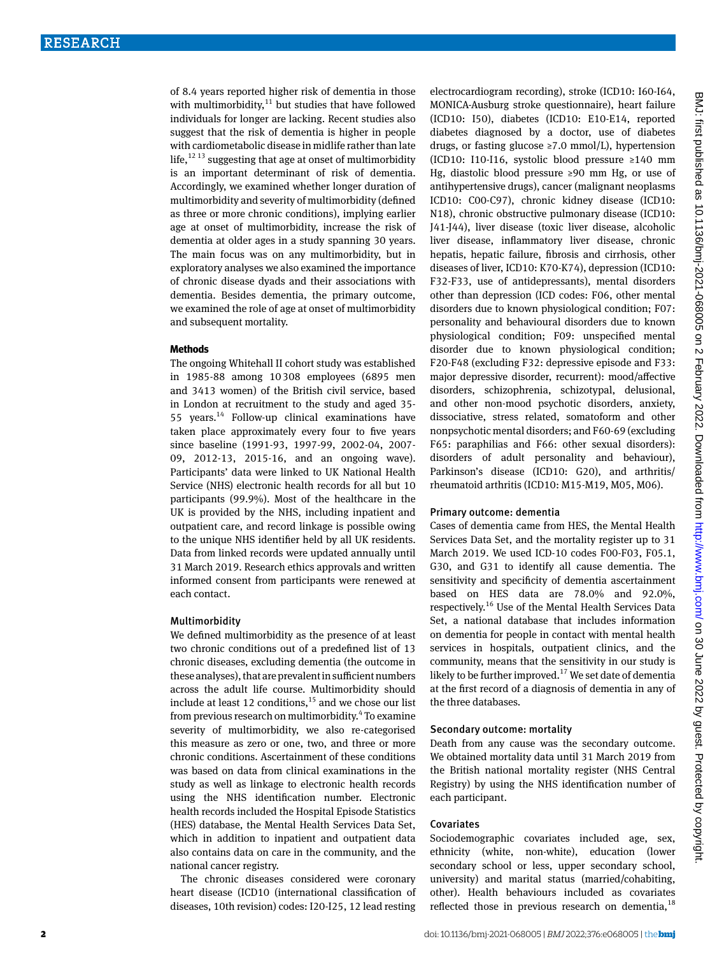of 8.4 years reported higher risk of dementia in those with multimorbidity, $11$  but studies that have followed individuals for longer are lacking. Recent studies also suggest that the risk of dementia is higher in people with cardiometabolic disease in midlife rather than late life, $^{12}$ <sup>13</sup> suggesting that age at onset of multimorbidity is an important determinant of risk of dementia. Accordingly, we examined whether longer duration of multimorbidity and severity of multimorbidity (defined as three or more chronic conditions), implying earlier age at onset of multimorbidity, increase the risk of dementia at older ages in a study spanning 30 years. The main focus was on any multimorbidity, but in exploratory analyses we also examined the importance of chronic disease dyads and their associations with dementia. Besides dementia, the primary outcome, we examined the role of age at onset of multimorbidity and subsequent mortality.

#### **Methods**

The ongoing Whitehall II cohort study was established in 1985-88 among 10308 employees (6895 men and 3413 women) of the British civil service, based in London at recruitment to the study and aged 35- 55 years.14 Follow-up clinical examinations have taken place approximately every four to five years since baseline (1991-93, 1997-99, 2002-04, 2007- 09, 2012-13, 2015-16, and an ongoing wave). Participants' data were linked to UK National Health Service (NHS) electronic health records for all but 10 participants (99.9%). Most of the healthcare in the UK is provided by the NHS, including inpatient and outpatient care, and record linkage is possible owing to the unique NHS identifier held by all UK residents. Data from linked records were updated annually until 31 March 2019. Research ethics approvals and written informed consent from participants were renewed at each contact.

#### Multimorbidity

We defined multimorbidity as the presence of at least two chronic conditions out of a predefined list of 13 chronic diseases, excluding dementia (the outcome in these analyses), that are prevalent in sufficient numbers across the adult life course. Multimorbidity should include at least 12 conditions, $15$  and we chose our list from previous research on multimorbidity.<sup>4</sup> To examine severity of multimorbidity, we also re-categorised this measure as zero or one, two, and three or more chronic conditions. Ascertainment of these conditions was based on data from clinical examinations in the study as well as linkage to electronic health records using the NHS identification number. Electronic health records included the Hospital Episode Statistics (HES) database, the Mental Health Services Data Set, which in addition to inpatient and outpatient data also contains data on care in the community, and the national cancer registry.

The chronic diseases considered were coronary heart disease (ICD10 (international classification of diseases, 10th revision) codes: I20-I25, 12 lead resting electrocardiogram recording), stroke (ICD10: I60-I64, MONICA-Ausburg stroke questionnaire), heart failure (ICD10: I50), diabetes (ICD10: E10-E14, reported diabetes diagnosed by a doctor, use of diabetes drugs, or fasting glucose ≥7.0 mmol/L), hypertension (ICD10: I10-I16, systolic blood pressure ≥140 mm Hg, diastolic blood pressure ≥90 mm Hg, or use of antihypertensive drugs), cancer (malignant neoplasms ICD10: C00-C97), chronic kidney disease (ICD10: N18), chronic obstructive pulmonary disease (ICD10: J41-J44), liver disease (toxic liver disease, alcoholic liver disease, inflammatory liver disease, chronic hepatis, hepatic failure, fibrosis and cirrhosis, other diseases of liver, ICD10: K70-K74), depression (ICD10: F32-F33, use of antidepressants), mental disorders other than depression (ICD codes: F06, other mental disorders due to known physiological condition; F07: personality and behavioural disorders due to known physiological condition; F09: unspecified mental disorder due to known physiological condition; F20-F48 (excluding F32: depressive episode and F33: major depressive disorder, recurrent): mood/affective disorders, schizophrenia, schizotypal, delusional, and other non-mood psychotic disorders, anxiety, dissociative, stress related, somatoform and other nonpsychotic mental disorders; and F60-69 (excluding F65: paraphilias and F66: other sexual disorders): disorders of adult personality and behaviour), Parkinson's disease (ICD10: G20), and arthritis/ rheumatoid arthritis (ICD10: M15-M19, M05, M06).

#### Primary outcome: dementia

Cases of dementia came from HES, the Mental Health Services Data Set, and the mortality register up to 31 March 2019. We used ICD-10 codes F00-F03, F05.1, G30, and G31 to identify all cause dementia. The sensitivity and specificity of dementia ascertainment based on HES data are 78.0% and 92.0%, respectively.16 Use of the Mental Health Services Data Set, a national database that includes information on dementia for people in contact with mental health services in hospitals, outpatient clinics, and the community, means that the sensitivity in our study is likely to be further improved.<sup>17</sup> We set date of dementia at the first record of a diagnosis of dementia in any of the three databases.

### Secondary outcome: mortality

Death from any cause was the secondary outcome. We obtained mortality data until 31 March 2019 from the British national mortality register (NHS Central Registry) by using the NHS identification number of each participant.

#### Covariates

Sociodemographic covariates included age, sex, ethnicity (white, non-white), education (lower secondary school or less, upper secondary school, university) and marital status (married/cohabiting, other). Health behaviours included as covariates reflected those in previous research on dementia, $^{18}$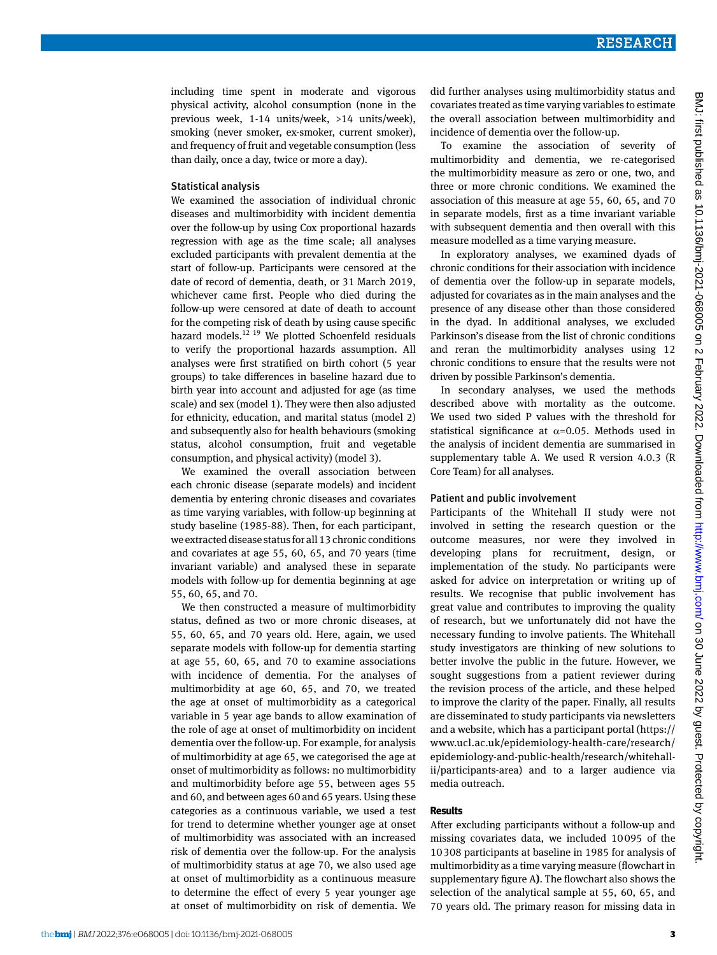including time spent in moderate and vigorous physical activity, alcohol consumption (none in the previous week, 1-14 units/week, >14 units/week), smoking (never smoker, ex-smoker, current smoker), and frequency of fruit and vegetable consumption (less than daily, once a day, twice or more a day).

#### Statistical analysis

We examined the association of individual chronic diseases and multimorbidity with incident dementia over the follow-up by using Cox proportional hazards regression with age as the time scale; all analyses excluded participants with prevalent dementia at the start of follow-up. Participants were censored at the date of record of dementia, death, or 31 March 2019, whichever came first. People who died during the follow-up were censored at date of death to account for the competing risk of death by using cause specific hazard models. $12$ <sup>19</sup> We plotted Schoenfeld residuals to verify the proportional hazards assumption. All analyses were first stratified on birth cohort (5 year groups) to take differences in baseline hazard due to birth year into account and adjusted for age (as time scale) and sex (model 1). They were then also adjusted for ethnicity, education, and marital status (model 2) and subsequently also for health behaviours (smoking status, alcohol consumption, fruit and vegetable consumption, and physical activity) (model 3).

We examined the overall association between each chronic disease (separate models) and incident dementia by entering chronic diseases and covariates as time varying variables, with follow-up beginning at study baseline (1985-88). Then, for each participant, we extracted disease status for all 13 chronic conditions and covariates at age 55, 60, 65, and 70 years (time invariant variable) and analysed these in separate models with follow-up for dementia beginning at age 55, 60, 65, and 70.

We then constructed a measure of multimorbidity status, defined as two or more chronic diseases, at 55, 60, 65, and 70 years old. Here, again, we used separate models with follow-up for dementia starting at age 55, 60, 65, and 70 to examine associations with incidence of dementia. For the analyses of multimorbidity at age 60, 65, and 70, we treated the age at onset of multimorbidity as a categorical variable in 5 year age bands to allow examination of the role of age at onset of multimorbidity on incident dementia over the follow-up. For example, for analysis of multimorbidity at age 65, we categorised the age at onset of multimorbidity as follows: no multimorbidity and multimorbidity before age 55, between ages 55 and 60, and between ages 60 and 65 years. Using these categories as a continuous variable, we used a test for trend to determine whether younger age at onset of multimorbidity was associated with an increased risk of dementia over the follow-up. For the analysis of multimorbidity status at age 70, we also used age at onset of multimorbidity as a continuous measure to determine the effect of every 5 year younger age at onset of multimorbidity on risk of dementia. We did further analyses using multimorbidity status and covariates treated as time varying variables to estimate the overall association between multimorbidity and incidence of dementia over the follow-up.

To examine the association of severity of multimorbidity and dementia, we re-categorised the multimorbidity measure as zero or one, two, and three or more chronic conditions. We examined the association of this measure at age 55, 60, 65, and 70 in separate models, first as a time invariant variable with subsequent dementia and then overall with this measure modelled as a time varying measure.

In exploratory analyses, we examined dyads of chronic conditions for their association with incidence of dementia over the follow-up in separate models, adjusted for covariates as in the main analyses and the presence of any disease other than those considered in the dyad. In additional analyses, we excluded Parkinson's disease from the list of chronic conditions and reran the multimorbidity analyses using 12 chronic conditions to ensure that the results were not driven by possible Parkinson's dementia.

In secondary analyses, we used the methods described above with mortality as the outcome. We used two sided P values with the threshold for statistical significance at  $\alpha$ =0.05. Methods used in the analysis of incident dementia are summarised in supplementary table A. We used R version 4.0.3 (R Core Team) for all analyses.

#### Patient and public involvement

Participants of the Whitehall II study were not involved in setting the research question or the outcome measures, nor were they involved in developing plans for recruitment, design, or implementation of the study. No participants were asked for advice on interpretation or writing up of results. We recognise that public involvement has great value and contributes to improving the quality of research, but we unfortunately did not have the necessary funding to involve patients. The Whitehall study investigators are thinking of new solutions to better involve the public in the future. However, we sought suggestions from a patient reviewer during the revision process of the article, and these helped to improve the clarity of the paper. Finally, all results are disseminated to study participants via newsletters and a website, which has a participant portal ([https://](https://www.ucl.ac.uk/epidemiology-health-care/research/epidemiology-and-public-health/research/whitehall-ii/participants-area) [www.ucl.ac.uk/epidemiology-health-care/research/](https://www.ucl.ac.uk/epidemiology-health-care/research/epidemiology-and-public-health/research/whitehall-ii/participants-area) [epidemiology-and-public-health/research/whitehall](https://www.ucl.ac.uk/epidemiology-health-care/research/epidemiology-and-public-health/research/whitehall-ii/participants-area)[ii/participants-area](https://www.ucl.ac.uk/epidemiology-health-care/research/epidemiology-and-public-health/research/whitehall-ii/participants-area)) and to a larger audience via media outreach.

#### **Results**

After excluding participants without a follow-up and missing covariates data, we included 10095 of the 10308 participants at baseline in 1985 for analysis of multimorbidity as a time varying measure (flowchart in supplementary figure A**)**. The flowchart also shows the selection of the analytical sample at 55, 60, 65, and 70 years old. The primary reason for missing data in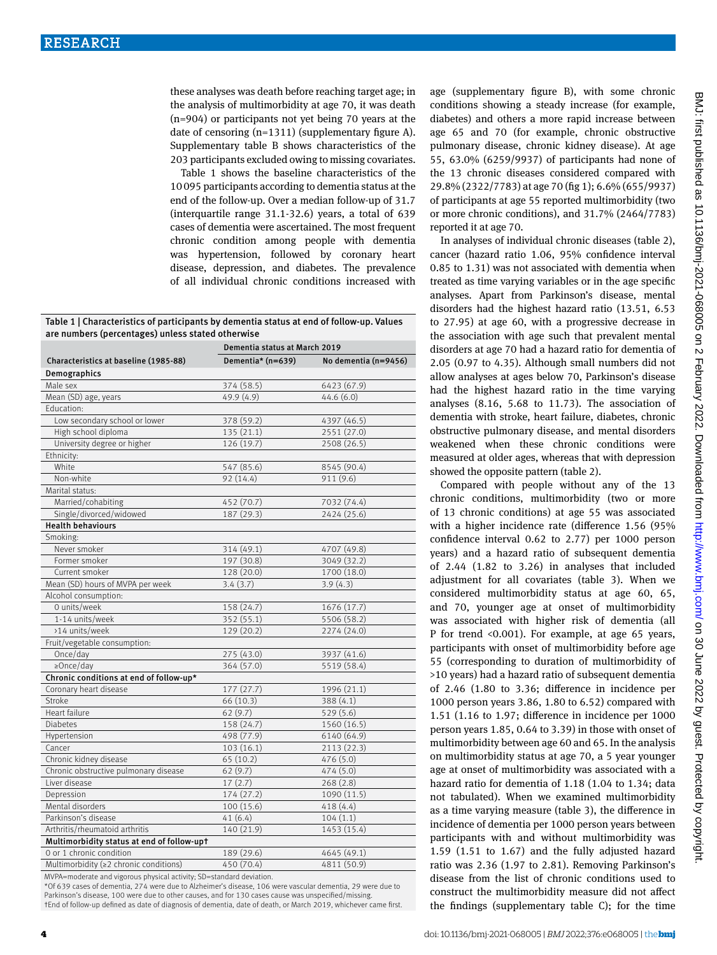these analyses was death before reaching target age; in the analysis of multimorbidity at age 70, it was death (n=904) or participants not yet being 70 years at the date of censoring (n=1311) (supplementary figure A). Supplementary table B shows characteristics of the 203 participants excluded owing to missing covariates.

Table 1 shows the baseline characteristics of the 10095 participants according to dementia status at the end of the follow-up. Over a median follow-up of 31.7 (interquartile range 31.1-32.6) years, a total of 639 cases of dementia were ascertained. The most frequent chronic condition among people with dementia was hypertension, followed by coronary heart disease, depression, and diabetes. The prevalence of all individual chronic conditions increased with

Table 1 | Characteristics of participants by dementia status at end of follow-up. Values are numbers (percentages) unless stated otherwise

|                                            | Dementia status at March 2019 |                      |  |  |  |
|--------------------------------------------|-------------------------------|----------------------|--|--|--|
| Characteristics at baseline (1985-88)      | Dementia* (n=639)             | No dementia (n=9456) |  |  |  |
| Demographics                               |                               |                      |  |  |  |
| Male sex                                   | 374 (58.5)                    | 6423 (67.9)          |  |  |  |
| Mean (SD) age, years                       | 49.9 (4.9)                    | 44.6(6.0)            |  |  |  |
| Education:                                 |                               |                      |  |  |  |
| Low secondary school or lower              | 378 (59.2)                    | 4397 (46.5)          |  |  |  |
| High school diploma                        | 135(21.1)                     | 2551 (27.0)          |  |  |  |
| University degree or higher                | 126 (19.7)                    | 2508 (26.5)          |  |  |  |
| Ethnicity:                                 |                               |                      |  |  |  |
| White                                      | 547 (85.6)                    | 8545 (90.4)          |  |  |  |
| Non-white                                  | 92 (14.4)                     | 911 (9.6)            |  |  |  |
| Marital status:                            |                               |                      |  |  |  |
| Married/cohabiting                         | 452 (70.7)                    | 7032 (74.4)          |  |  |  |
| Single/divorced/widowed                    | 187 (29.3)                    | 2424 (25.6)          |  |  |  |
| <b>Health behaviours</b>                   |                               |                      |  |  |  |
| Smoking:                                   |                               |                      |  |  |  |
| Never smoker                               | 314 (49.1)                    | 4707 (49.8)          |  |  |  |
| Former smoker                              | 197 (30.8)                    | 3049 (32.2)          |  |  |  |
| Current smoker                             | 128 (20.0)                    | 1700 (18.0)          |  |  |  |
| Mean (SD) hours of MVPA per week           | 3.4(3.7)                      | 3.9(4.3)             |  |  |  |
| Alcohol consumption:                       |                               |                      |  |  |  |
| 0 units/week                               | 158 (24.7)                    | 1676 (17.7)          |  |  |  |
| 1-14 units/week                            | 352 (55.1)                    | 5506 (58.2)          |  |  |  |
| >14 units/week                             | 129 (20.2)                    | 2274 (24.0)          |  |  |  |
| Fruit/vegetable consumption:               |                               |                      |  |  |  |
| Once/day                                   | 275 (43.0)                    | 3937 (41.6)          |  |  |  |
| $\geq$ Once/day                            | 364 (57.0)                    | 5519 (58.4)          |  |  |  |
| Chronic conditions at end of follow-up*    |                               |                      |  |  |  |
| Coronary heart disease                     | 177(27.7)                     | 1996 (21.1)          |  |  |  |
| Stroke                                     | 66 (10.3)                     | 388 (4.1)            |  |  |  |
| Heart failure                              | 62(9.7)                       | 529 (5.6)            |  |  |  |
| <b>Diabetes</b>                            | 158 (24.7)                    | 1560 (16.5)          |  |  |  |
| Hypertension                               | 498 (77.9)                    | 6140 (64.9)          |  |  |  |
| Cancer                                     | 103(16.1)                     | 2113 (22.3)          |  |  |  |
| Chronic kidney disease                     | 65 (10.2)                     | 476 (5.0)            |  |  |  |
| Chronic obstructive pulmonary disease      | 62(9.7)                       | 474 (5.0)            |  |  |  |
| Liver disease                              | 17(2.7)                       | 268(2.8)             |  |  |  |
| Depression                                 | 174(27.2)                     | 1090(11.5)           |  |  |  |
| Mental disorders                           | 100 (15.6)                    | 418(4.4)             |  |  |  |
| Parkinson's disease                        | 41(6.4)                       | 104(1.1)             |  |  |  |
| Arthritis/rheumatoid arthritis             | 140 (21.9)                    | 1453 (15.4)          |  |  |  |
| Multimorbidity status at end of follow-upt |                               |                      |  |  |  |
| 0 or 1 chronic condition                   | 189 (29.6)                    | 4645 (49.1)          |  |  |  |
| Multimorbidity (≥2 chronic conditions)     | 450 (70.4)                    | 4811 (50.9)          |  |  |  |

MVPA=moderate and vigorous physical activity; SD=standard deviation.

\*Of 639 cases of dementia, 274 were due to Alzheimer's disease, 106 were vascular dementia, 29 were due to Parkinson's disease, 100 were due to other causes, and for 130 cases cause was unspecified/missing. †End of follow-up defined as date of diagnosis of dementia, date of death, or March 2019, whichever came first. age (supplementary figure B), with some chronic conditions showing a steady increase (for example, diabetes) and others a more rapid increase between age 65 and 70 (for example, chronic obstructive pulmonary disease, chronic kidney disease). At age 55, 63.0% (6259/9937) of participants had none of the 13 chronic diseases considered compared with 29.8% (2322/7783) at age 70 (fig 1); 6.6% (655/9937) of participants at age 55 reported multimorbidity (two or more chronic conditions), and 31.7% (2464/7783) reported it at age 70.

In analyses of individual chronic diseases (table 2), cancer (hazard ratio 1.06, 95% confidence interval 0.85 to 1.31) was not associated with dementia when treated as time varying variables or in the age specific analyses. Apart from Parkinson's disease, mental disorders had the highest hazard ratio (13.51, 6.53 to 27.95) at age 60, with a progressive decrease in the association with age such that prevalent mental disorders at age 70 had a hazard ratio for dementia of 2.05 (0.97 to 4.35). Although small numbers did not allow analyses at ages below 70, Parkinson's disease had the highest hazard ratio in the time varying analyses (8.16, 5.68 to 11.73). The association of dementia with stroke, heart failure, diabetes, chronic obstructive pulmonary disease, and mental disorders weakened when these chronic conditions were measured at older ages, whereas that with depression showed the opposite pattern (table 2).

Compared with people without any of the 13 chronic conditions, multimorbidity (two or more of 13 chronic conditions) at age 55 was associated with a higher incidence rate (difference 1.56 (95% confidence interval 0.62 to 2.77) per 1000 person years) and a hazard ratio of subsequent dementia of 2.44 (1.82 to 3.26) in analyses that included adjustment for all covariates (table 3). When we considered multimorbidity status at age 60, 65, and 70, younger age at onset of multimorbidity was associated with higher risk of dementia (all P for trend <0.001). For example, at age 65 years, participants with onset of multimorbidity before age 55 (corresponding to duration of multimorbidity of >10 years) had a hazard ratio of subsequent dementia of 2.46 (1.80 to 3.36; difference in incidence per 1000 person years 3.86, 1.80 to 6.52) compared with 1.51 (1.16 to 1.97; difference in incidence per 1000 person years 1.85, 0.64 to 3.39) in those with onset of multimorbidity between age 60 and 65. In the analysis on multimorbidity status at age 70, a 5 year younger age at onset of multimorbidity was associated with a hazard ratio for dementia of 1.18 (1.04 to 1.34; data not tabulated). When we examined multimorbidity as a time varying measure (table 3), the difference in incidence of dementia per 1000 person years between participants with and without multimorbidity was 1.59 (1.51 to 1.67) and the fully adjusted hazard ratio was 2.36 (1.97 to 2.81). Removing Parkinson's disease from the list of chronic conditions used to construct the multimorbidity measure did not affect the findings (supplementary table C); for the time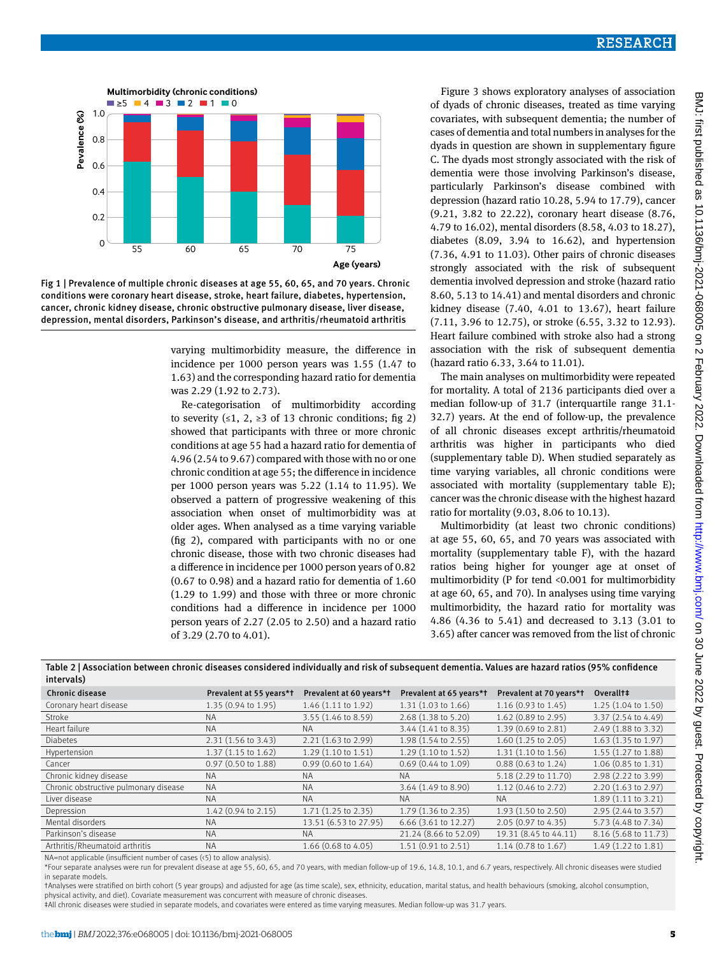

Fig 1 | Prevalence of multiple chronic diseases at age 55, 60, 65, and 70 years. Chronic conditions were coronary heart disease, stroke, heart failure, diabetes, hypertension, cancer, chronic kidney disease, chronic obstructive pulmonary disease, liver disease, depression, mental disorders, Parkinson's disease, and arthritis/rheumatoid arthritis

varying multimorbidity measure, the difference in incidence per 1000 person years was 1.55 (1.47 to 1.63) and the corresponding hazard ratio for dementia was 2.29 (1.92 to 2.73).

Re-categorisation of multimorbidity according to severity (≤1, 2, ≥3 of 13 chronic conditions; fig 2) showed that participants with three or more chronic conditions at age 55 had a hazard ratio for dementia of 4.96 (2.54 to 9.67) compared with those with no or one chronic condition at age 55; the difference in incidence per 1000 person years was 5.22 (1.14 to 11.95). We observed a pattern of progressive weakening of this association when onset of multimorbidity was at older ages. When analysed as a time varying variable (fig 2), compared with participants with no or one chronic disease, those with two chronic diseases had a difference in incidence per 1000 person years of 0.82 (0.67 to 0.98) and a hazard ratio for dementia of 1.60 (1.29 to 1.99) and those with three or more chronic conditions had a difference in incidence per 1000 person years of 2.27 (2.05 to 2.50) and a hazard ratio of 3.29 (2.70 to 4.01).

Figure 3 shows exploratory analyses of association of dyads of chronic diseases, treated as time varying covariates, with subsequent dementia; the number of cases of dementia and total numbers in analyses for the dyads in question are shown in supplementary figure C. The dyads most strongly associated with the risk of dementia were those involving Parkinson's disease, particularly Parkinson's disease combined with depression (hazard ratio 10.28, 5.94 to 17.79), cancer (9.21, 3.82 to 22.22), coronary heart disease (8.76, 4.79 to 16.02), mental disorders (8.58, 4.03 to 18.27), diabetes (8.09, 3.94 to 16.62), and hypertension (7.36, 4.91 to 11.03). Other pairs of chronic diseases strongly associated with the risk of subsequent dementia involved depression and stroke (hazard ratio 8.60, 5.13 to 14.41) and mental disorders and chronic kidney disease (7.40, 4.01 to 13.67), heart failure (7.11, 3.96 to 12.75), or stroke (6.55, 3.32 to 12.93). Heart failure combined with stroke also had a strong association with the risk of subsequent dementia (hazard ratio 6.33, 3.64 to 11.01).

The main analyses on multimorbidity were repeated for mortality. A total of 2136 participants died over a median follow-up of 31.7 (interquartile range 31.1- 32.7) years. At the end of follow-up, the prevalence of all chronic diseases except arthritis/rheumatoid arthritis was higher in participants who died (supplementary table D). When studied separately as time varying variables, all chronic conditions were associated with mortality (supplementary table E); cancer was the chronic disease with the highest hazard ratio for mortality (9.03, 8.06 to 10.13).

Multimorbidity (at least two chronic conditions) at age 55, 60, 65, and 70 years was associated with mortality (supplementary table F), with the hazard ratios being higher for younger age at onset of multimorbidity (P for tend <0.001 for multimorbidity at age 60, 65, and 70). In analyses using time varying multimorbidity, the hazard ratio for mortality was 4.86 (4.36 to 5.41) and decreased to 3.13 (3.01 to 3.65) after cancer was removed from the list of chronic

| Table 2   Association between chronic diseases considered individually and risk of subsequent dementia. Values are hazard ratios (95% confidence<br>intervals) |                               |                               |                               |                               |                               |  |  |  |
|----------------------------------------------------------------------------------------------------------------------------------------------------------------|-------------------------------|-------------------------------|-------------------------------|-------------------------------|-------------------------------|--|--|--|
| Chronic disease                                                                                                                                                | Prevalent at 55 years*t       | Prevalent at 60 years*t       | Prevalent at 65 years*t       | Prevalent at 70 years*t       | Overall <sup>+</sup>          |  |  |  |
| Coronary heart disease                                                                                                                                         | 1.35 (0.94 to 1.95)           | 1.46 (1.11 to 1.92)           | $1.31(1.03 \text{ to } 1.66)$ | $1.16(0.93 \text{ to } 1.45)$ | 1.25 (1.04 to 1.50)           |  |  |  |
| Stroke                                                                                                                                                         | NA.                           | $3.55(1.46 \text{ to } 8.59)$ | 2.68 (1.38 to 5.20)           | 1.62 (0.89 to 2.95)           | 3.37 (2.54 to 4.49)           |  |  |  |
| Heart failure                                                                                                                                                  | <b>NA</b>                     | <b>NA</b>                     | $3.44$ (1.41 to 8.35)         | 1.39 (0.69 to 2.81)           | 2.49 (1.88 to 3.32)           |  |  |  |
| <b>Diabetes</b>                                                                                                                                                | $2.31(1.56 \text{ to } 3.43)$ | 2.21 (1.63 to 2.99)           | 1.98 (1.54 to 2.55)           | $1.60$ (1.25 to 2.05)         | $1.63$ (1.35 to 1.97)         |  |  |  |
| Hypertension                                                                                                                                                   | $1.37(1.15 \text{ to } 1.62)$ | $1.29(1.10 \text{ to } 1.51)$ | $1.29(1.10 \text{ to } 1.52)$ | $1.31(1.10 \text{ to } 1.56)$ | 1.55 (1.27 to 1.88)           |  |  |  |
| Cancer                                                                                                                                                         | 0.97 (0.50 to 1.88)           | $0.99(0.60 \text{ to } 1.64)$ | $0.69$ (0.44 to 1.09)         | $0.88$ $(0.63$ to 1.24)       | 1.06 (0.85 to 1.31)           |  |  |  |
| Chronic kidney disease                                                                                                                                         | <b>NA</b>                     | <b>NA</b>                     | <b>NA</b>                     | 5.18 (2.29 to 11.70)          | 2.98 (2.22 to 3.99)           |  |  |  |
| Chronic obstructive pulmonary disease                                                                                                                          | <b>NA</b>                     | <b>NA</b>                     | 3.64 (1.49 to 8.90)           | 1.12 (0.46 to 2.72)           | $2.20(1.63 \text{ to } 2.97)$ |  |  |  |
| Liver disease                                                                                                                                                  | <b>NA</b>                     | <b>NA</b>                     | <b>NA</b>                     | <b>NA</b>                     | $1.89(1.11 \text{ to } 3.21)$ |  |  |  |
| Depression                                                                                                                                                     | $1.42(0.94 \text{ to } 2.15)$ | 1.71 (1.25 to 2.35)           | $1.79(1.36 \text{ to } 2.35)$ | 1.93 (1.50 to 2.50)           | 2.95 (2.44 to 3.57)           |  |  |  |
| Mental disorders                                                                                                                                               | <b>NA</b>                     | 13.51 (6.53 to 27.95)         | 6.66 (3.61 to 12.27)          | 2.05 (0.97 to 4.35)           | 5.73 (4.48 to 7.34)           |  |  |  |
| Parkinson's disease                                                                                                                                            | <b>NA</b>                     | <b>NA</b>                     | 21.24 (8.66 to 52.09)         | 19.31 (8.45 to 44.11)         | 8.16 (5.68 to 11.73)          |  |  |  |
| Arthritis/Rheumatoid arthritis                                                                                                                                 | <b>NA</b>                     | 1.66 (0.68 to 4.05)           | $1.51(0.91$ to $2.51)$        | 1.14 (0.78 to 1.67)           | 1.49 (1.22 to 1.81)           |  |  |  |

NA=not applicable (insufficient number of cases (<5) to allow analysis).

\*Four separate analyses were run for prevalent disease at age 55, 60, 65, and 70 years, with median follow-up of 19.6, 14.8, 10.1, and 6.7 years, respectively. All chronic diseases were studied in separate models.

†Analyses were stratified on birth cohort (5 year groups) and adjusted for age (as time scale), sex, ethnicity, education, marital status, and health behaviours (smoking, alcohol consumption, physical activity, and diet). Covariate measurement was concurrent with measure of chronic diseases.

‡All chronic diseases were studied in separate models, and covariates were entered as time varying measures. Median follow-up was 31.7 years.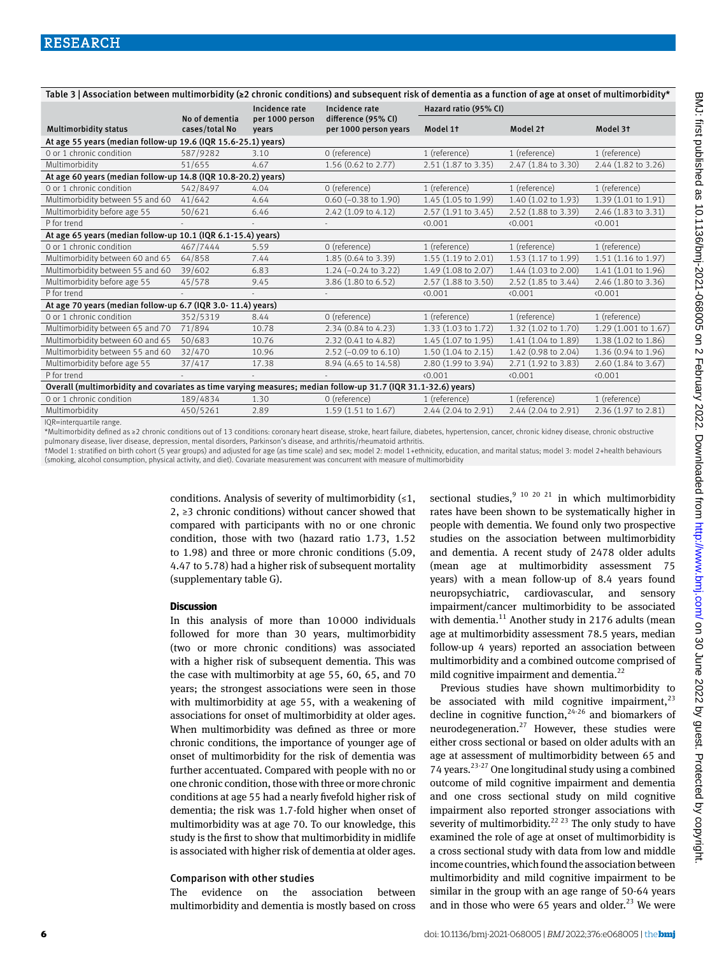| Table 3   Association between multimorbidity (≥2 chronic conditions) and subsequent risk of dementia as a function of age at onset of multimorbidity* |                                  |                          |                                              |                               |                     |                      |  |  |  |
|-------------------------------------------------------------------------------------------------------------------------------------------------------|----------------------------------|--------------------------|----------------------------------------------|-------------------------------|---------------------|----------------------|--|--|--|
|                                                                                                                                                       |                                  | Incidence rate           | Incidence rate                               | Hazard ratio (95% CI)         |                     |                      |  |  |  |
| <b>Multimorbidity status</b>                                                                                                                          | No of dementia<br>cases/total No | per 1000 person<br>vears | difference (95% CI)<br>per 1000 person years | Model 1t                      | Model 2t            | Model 3t             |  |  |  |
| At age 55 years (median follow-up 19.6 (IQR 15.6-25.1) years)                                                                                         |                                  |                          |                                              |                               |                     |                      |  |  |  |
| 0 or 1 chronic condition                                                                                                                              | 587/9282                         | 3.10                     | 0 (reference)                                | 1 (reference)                 | 1 (reference)       | 1 (reference)        |  |  |  |
| Multimorbidity                                                                                                                                        | 51/655                           | 4.67                     | 1.56 (0.62 to 2.77)                          | 2.51 (1.87 to 3.35)           | 2.47 (1.84 to 3.30) | 2.44 (1.82 to 3.26)  |  |  |  |
| At age 60 years (median follow-up 14.8 (IQR 10.8-20.2) years)                                                                                         |                                  |                          |                                              |                               |                     |                      |  |  |  |
| 0 or 1 chronic condition                                                                                                                              | 542/8497                         | 4.04                     | 0 (reference)                                | 1 (reference)                 | 1 (reference)       | 1 (reference)        |  |  |  |
| Multimorbidity between 55 and 60                                                                                                                      | 41/642                           | 4.64                     | $0.60$ (-0.38 to 1.90)                       | 1.45 (1.05 to 1.99)           | 1.40 (1.02 to 1.93) | 1.39 (1.01 to 1.91)  |  |  |  |
| Multimorbidity before age 55                                                                                                                          | 50/621                           | 6.46                     | 2.42 (1.09 to 4.12)                          | 2.57 (1.91 to 3.45)           | 2.52 (1.88 to 3.39) | 2.46 (1.83 to 3.31)  |  |  |  |
| P for trend                                                                                                                                           |                                  |                          |                                              | 0.001                         | 0.001               | (0.001)              |  |  |  |
| At age 65 years (median follow-up 10.1 (IQR 6.1-15.4) years)                                                                                          |                                  |                          |                                              |                               |                     |                      |  |  |  |
| 0 or 1 chronic condition                                                                                                                              | 467/7444                         | 5.59                     | 0 (reference)                                | 1 (reference)                 | 1 (reference)       | 1 (reference)        |  |  |  |
| Multimorbidity between 60 and 65                                                                                                                      | 64/858                           | 7.44                     | 1.85 (0.64 to 3.39)                          | 1.55 (1.19 to 2.01)           | 1.53 (1.17 to 1.99) | 1.51 (1.16 to 1.97)  |  |  |  |
| Multimorbidity between 55 and 60                                                                                                                      | 39/602                           | 6.83                     | $1.24 (-0.24$ to 3.22)                       | 1.49 (1.08 to 2.07)           | 1.44 (1.03 to 2.00) | 1.41 (1.01 to 1.96)  |  |  |  |
| Multimorbidity before age 55                                                                                                                          | 45/578                           | 9.45                     | 3.86 (1.80 to 6.52)                          | 2.57 (1.88 to 3.50)           | 2.52 (1.85 to 3.44) | 2.46 (1.80 to 3.36)  |  |  |  |
| P for trend                                                                                                                                           |                                  |                          |                                              | 0.001                         | 0.001               | (0.001)              |  |  |  |
| At age 70 years (median follow-up 6.7 (IQR 3.0-11.4) years)                                                                                           |                                  |                          |                                              |                               |                     |                      |  |  |  |
| 0 or 1 chronic condition                                                                                                                              | 352/5319                         | 8.44                     | 0 (reference)                                | 1 (reference)                 | 1 (reference)       | 1 (reference)        |  |  |  |
| Multimorbidity between 65 and 70                                                                                                                      | 71/894                           | 10.78                    | 2.34 (0.84 to 4.23)                          | 1.33 (1.03 to 1.72)           | 1.32 (1.02 to 1.70) | 1.29 (1.001 to 1.67) |  |  |  |
| Multimorbidity between 60 and 65                                                                                                                      | 50/683                           | 10.76                    | 2.32 (0.41 to 4.82)                          | 1.45 (1.07 to 1.95)           | 1.41 (1.04 to 1.89) | 1.38 (1.02 to 1.86)  |  |  |  |
| Multimorbidity between 55 and 60                                                                                                                      | 32/470                           | 10.96                    | 2.52 (-0.09 to 6.10)                         | $1.50(1.04 \text{ to } 2.15)$ | 1.42 (0.98 to 2.04) | 1.36 (0.94 to 1.96)  |  |  |  |
| Multimorbidity before age 55                                                                                                                          | 37/417                           | 17.38                    | 8.94 (4.65 to 14.58)                         | 2.80 (1.99 to 3.94)           | 2.71 (1.92 to 3.83) | 2.60 (1.84 to 3.67)  |  |  |  |
| P for trend                                                                                                                                           |                                  |                          |                                              | (0.001)                       | 0.001               | (0.001)              |  |  |  |
| Overall (multimorbidity and covariates as time varying measures; median follow-up 31.7 (IQR 31.1-32.6) years)                                         |                                  |                          |                                              |                               |                     |                      |  |  |  |
| 0 or 1 chronic condition                                                                                                                              | 189/4834                         | 1.30                     | 0 (reference)                                | 1 (reference)                 | 1 (reference)       | 1 (reference)        |  |  |  |
| Multimorbidity                                                                                                                                        | 450/5261                         | 2.89                     | 1.59 (1.51 to 1.67)                          | 2.44 (2.04 to 2.91)           | 2.44 (2.04 to 2.91) | 2.36 (1.97 to 2.81)  |  |  |  |
|                                                                                                                                                       |                                  |                          |                                              |                               |                     |                      |  |  |  |

IQR=interquartile range.

\*Multimorbidity defined as ≥2 chronic conditions out of 13 conditions: coronary heart disease, stroke, heart failure, diabetes, hypertension, cancer, chronic kidney disease, chronic obstructive pulmonary disease, liver disease, depression, mental disorders, Parkinson's disease, and arthritis/rheumatoid arthritis.

†Model 1: stratified on birth cohort (5 year groups) and adjusted for age (as time scale) and sex; model 2: model 1+ethnicity, education, and marital status; model 3: model 2+health behaviours (smoking, alcohol consumption, physical activity, and diet). Covariate measurement was concurrent with measure of multimorbidity

> conditions. Analysis of severity of multimorbidity  $(1, 1)$ 2, ≥3 chronic conditions) without cancer showed that compared with participants with no or one chronic condition, those with two (hazard ratio 1.73, 1.52 to 1.98) and three or more chronic conditions (5.09, 4.47 to 5.78) had a higher risk of subsequent mortality (supplementary table G).

#### **Discussion**

In this analysis of more than 10000 individuals followed for more than 30 years, multimorbidity (two or more chronic conditions) was associated with a higher risk of subsequent dementia. This was the case with multimorbity at age 55, 60, 65, and 70 years; the strongest associations were seen in those with multimorbidity at age 55, with a weakening of associations for onset of multimorbidity at older ages. When multimorbidity was defined as three or more chronic conditions, the importance of younger age of onset of multimorbidity for the risk of dementia was further accentuated. Compared with people with no or one chronic condition, those with three or more chronic conditions at age 55 had a nearly fivefold higher risk of dementia; the risk was 1.7-fold higher when onset of multimorbidity was at age 70. To our knowledge, this study is the first to show that multimorbidity in midlife is associated with higher risk of dementia at older ages.

### Comparison with other studies

The evidence on the association between multimorbidity and dementia is mostly based on cross sectional studies,<sup>9 10 20 21</sup> in which multimorbidity rates have been shown to be systematically higher in people with dementia. We found only two prospective studies on the association between multimorbidity and dementia. A recent study of 2478 older adults (mean age at multimorbidity assessment 75 years) with a mean follow-up of 8.4 years found neuropsychiatric, cardiovascular, and sensory impairment/cancer multimorbidity to be associated with dementia.<sup>11</sup> Another study in 2176 adults (mean age at multimorbidity assessment 78.5 years, median follow-up 4 years) reported an association between multimorbidity and a combined outcome comprised of mild cognitive impairment and dementia.<sup>22</sup>

Previous studies have shown multimorbidity to be associated with mild cognitive impairment, $^{23}$ decline in cognitive function,  $24-26$  and biomarkers of neurodegeneration.<sup>27</sup> However, these studies were either cross sectional or based on older adults with an age at assessment of multimorbidity between 65 and 74 years. $2^{3-27}$  One longitudinal study using a combined outcome of mild cognitive impairment and dementia and one cross sectional study on mild cognitive impairment also reported stronger associations with severity of multimorbidity.<sup>22 23</sup> The only study to have examined the role of age at onset of multimorbidity is a cross sectional study with data from low and middle income countries, which found the association between multimorbidity and mild cognitive impairment to be similar in the group with an age range of 50-64 years and in those who were 65 years and older. $^{23}$  We were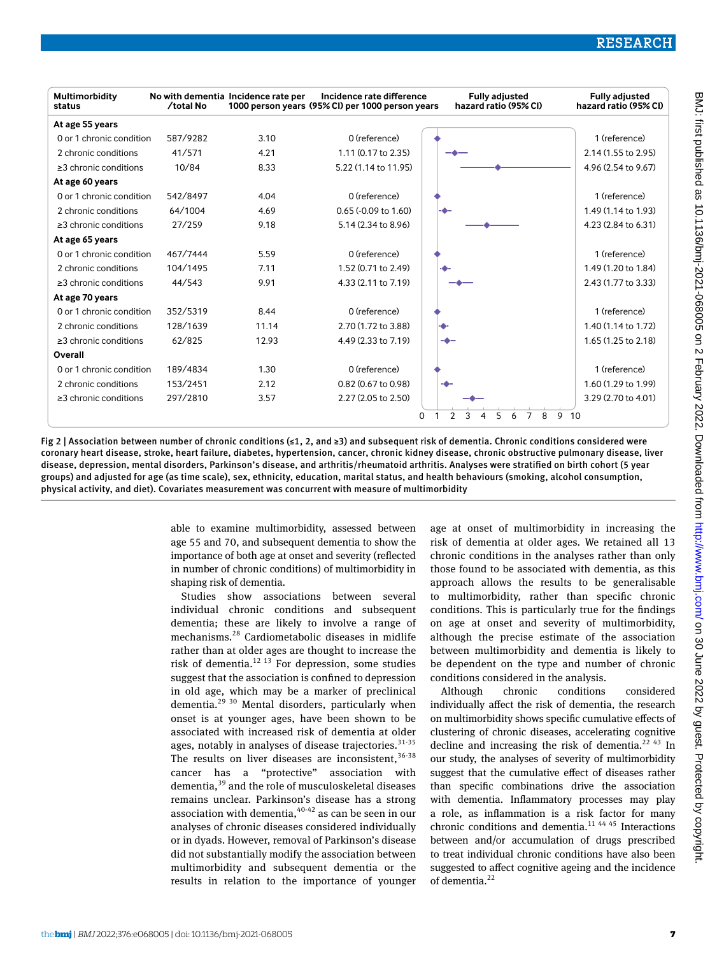

Fig 2 | Association between number of chronic conditions (≤1, 2, and ≥3) and subsequent risk of dementia. Chronic conditions considered were coronary heart disease, stroke, heart failure, diabetes, hypertension, cancer, chronic kidney disease, chronic obstructive pulmonary disease, liver disease, depression, mental disorders, Parkinson's disease, and arthritis/rheumatoid arthritis. Analyses were stratified on birth cohort (5 year groups) and adjusted for age (as time scale), sex, ethnicity, education, marital status, and health behaviours (smoking, alcohol consumption, physical activity, and diet). Covariates measurement was concurrent with measure of multimorbidity

> able to examine multimorbidity, assessed between age 55 and 70, and subsequent dementia to show the importance of both age at onset and severity (reflected in number of chronic conditions) of multimorbidity in shaping risk of dementia.

> Studies show associations between several individual chronic conditions and subsequent dementia; these are likely to involve a range of mechanisms.28 Cardiometabolic diseases in midlife rather than at older ages are thought to increase the risk of dementia. $^{12}$  <sup>13</sup> For depression, some studies suggest that the association is confined to depression in old age, which may be a marker of preclinical dementia.<sup>29 30</sup> Mental disorders, particularly when onset is at younger ages, have been shown to be associated with increased risk of dementia at older ages, notably in analyses of disease trajectories.  $31-35$ The results on liver diseases are inconsistent,  $36-38$ cancer has a "protective" association with dementia,39 and the role of musculoskeletal diseases remains unclear. Parkinson's disease has a strong association with dementia,  $40-42$  as can be seen in our analyses of chronic diseases considered individually or in dyads. However, removal of Parkinson's disease did not substantially modify the association between multimorbidity and subsequent dementia or the results in relation to the importance of younger

age at onset of multimorbidity in increasing the risk of dementia at older ages. We retained all 13 chronic conditions in the analyses rather than only those found to be associated with dementia, as this approach allows the results to be generalisable to multimorbidity, rather than specific chronic conditions. This is particularly true for the findings on age at onset and severity of multimorbidity, although the precise estimate of the association between multimorbidity and dementia is likely to be dependent on the type and number of chronic conditions considered in the analysis.

Although chronic conditions considered individually affect the risk of dementia, the research on multimorbidity shows specific cumulative effects of clustering of chronic diseases, accelerating cognitive decline and increasing the risk of dementia.<sup>22 43</sup> In our study, the analyses of severity of multimorbidity suggest that the cumulative effect of diseases rather than specific combinations drive the association with dementia. Inflammatory processes may play a role, as inflammation is a risk factor for many chronic conditions and dementia.11 44 45 Interactions between and/or accumulation of drugs prescribed to treat individual chronic conditions have also been suggested to affect cognitive ageing and the incidence of dementia.<sup>22</sup>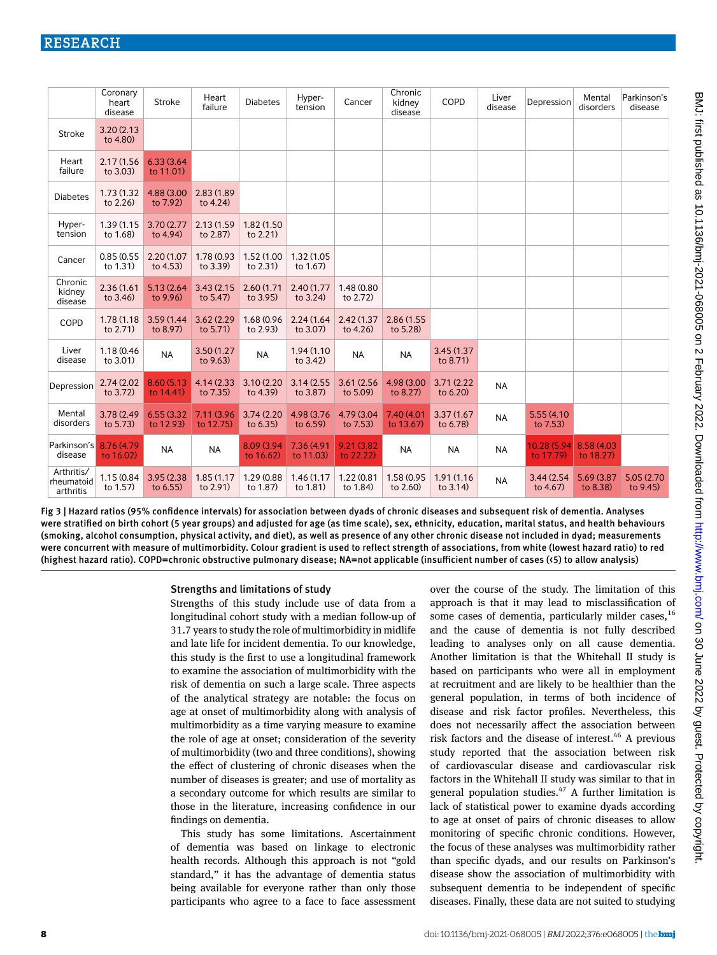|                                       | Coronary<br>heart<br>disease | Stroke                   | Heart<br>failure         | <b>Diabetes</b>         | Hyper-<br>tension       | Cancer                   | Chronic<br>kidney<br>disease | COPD                       | Liver<br>disease | Depression                | Mental<br>disorders      | Parkinson's<br>disease  |
|---------------------------------------|------------------------------|--------------------------|--------------------------|-------------------------|-------------------------|--------------------------|------------------------------|----------------------------|------------------|---------------------------|--------------------------|-------------------------|
| <b>Stroke</b>                         | 3.20(2.13)<br>to 4.80)       |                          |                          |                         |                         |                          |                              |                            |                  |                           |                          |                         |
| Heart<br>failure                      | 2.17(1.56)<br>to 3.03)       | 6.33(3.64)<br>to 11.01)  |                          |                         |                         |                          |                              |                            |                  |                           |                          |                         |
| <b>Diabetes</b>                       | 1.73 (1.32)<br>to 2.26)      | 4.88 (3.00<br>to 7.92)   | 2.83 (1.89)<br>to 4.24)  |                         |                         |                          |                              |                            |                  |                           |                          |                         |
| Hyper-<br>tension                     | 1.39 (1.15<br>to 1.68)       | 3.70 (2.77)<br>to 4.94)  | 2.13 (1.59)<br>to 2.87)  | 1.82 (1.50)<br>to 2.21) |                         |                          |                              |                            |                  |                           |                          |                         |
| Cancer                                | 0.85(0.55)<br>to 1.31)       | 2.20 (1.07<br>to 4.53)   | 1.78 (0.93<br>to 3.39)   | 1.52 (1.00<br>to 2.31)  | 1.32 (1.05<br>to 1.67)  |                          |                              |                            |                  |                           |                          |                         |
| Chronic<br>kidney<br>disease          | 2.36(1.61)<br>to $3.46$      | 5.13 (2.64<br>to 9.96)   | 3.43(2.15)<br>to 5.47)   | 2.60(1.71)<br>to 3.95)  | 2.40 (1.77<br>to 3.24)  | 1.48 (0.80<br>to 2.72)   |                              |                            |                  |                           |                          |                         |
| COPD                                  | 1.78 (1.18<br>to 2.71)       | 3.59 (1.44<br>to 8.97)   | 3.62 (2.29)<br>to 5.71)  | 1.68 (0.96<br>to 2.93)  | 2.24(1.64)<br>to 3.07)  | 2.42 (1.37<br>to 4.26)   | 2.86 (1.55<br>to 5.28)       |                            |                  |                           |                          |                         |
| Liver<br>disease                      | 1.18 (0.46)<br>to 3.01)      | <b>NA</b>                | 3.50 (1.27<br>to 9.63)   | <b>NA</b>               | 1.94 (1.10)<br>to 3.42) | <b>NA</b>                | <b>NA</b>                    | 3.45 (1.37)<br>to 8.71)    |                  |                           |                          |                         |
| Depression                            | 2.74 (2.02)<br>to 3.72)      | 8.60 (5.13)<br>to 14.41) | 4.14 (2.33<br>to 7.35)   | 3.10(2.20)<br>to 4.39)  | 3.14(2.55)<br>to 3.87)  | 3.61 (2.56)<br>to 5.09)  | 4.98 (3.00<br>to 8.27)       | 3.71(2.22)<br>to 6.20)     | <b>NA</b>        |                           |                          |                         |
| Mental<br>disorders                   | 3.78 (2.49)<br>to 5.73)      | 6.55 (3.32)<br>to 12.93) | 7.11 (3.96)<br>to 12.75) | 3.74 (2.20)<br>to 6.35) | 4.98 (3.76)<br>to 6.59) | 4.79 (3.04<br>to 7.53)   | 7.40 (4.01<br>to 13.67)      | 3.37(1.67)<br>to 6.78)     | <b>NA</b>        | 5.55 (4.10<br>to 7.53)    |                          |                         |
| Parkinson's<br>disease                | 8.76 (4.79<br>to 16.02)      | <b>NA</b>                | <b>NA</b>                | 8.09 (3.94<br>to 16.62) | 7.36 (4.91<br>to 11.03) | 9.21 (3.82)<br>to 22.22) | <b>NA</b>                    | <b>NA</b>                  | <b>NA</b>        | 10.28 (5.94)<br>to 17.79) | 8.58 (4.03)<br>to 18.27) |                         |
| Arthritis/<br>rheumatoid<br>arthritis | 1.15 (0.84<br>to 1.57)       | 3.95 (2.38)<br>to 6.55)  | 1.85 (1.17<br>to 2.91)   | 1.29 (0.88<br>to 1.87)  | 1.46 (1.17<br>to 1.81)  | 1.22 (0.81<br>to 1.84)   | 1.58 (0.95<br>to 2.60)       | 1.91 (1.16)<br>to $3.14$ ) | <b>NA</b>        | 3.44 (2.54)<br>to 4.67)   | 5.69 (3.87<br>to 8.38)   | 5.05 (2.70)<br>to 9.45) |

Fig 3 | Hazard ratios (95% confidence intervals) for association between dyads of chronic diseases and subsequent risk of dementia. Analyses were stratified on birth cohort (5 year groups) and adjusted for age (as time scale), sex, ethnicity, education, marital status, and health behaviours (smoking, alcohol consumption, physical activity, and diet), as well as presence of any other chronic disease not included in dyad; measurements were concurrent with measure of multimorbidity. Colour gradient is used to reflect strength of associations, from white (lowest hazard ratio) to red (highest hazard ratio). COPD=chronic obstructive pulmonary disease; NA=not applicable (insufficient number of cases (<5) to allow analysis)

#### Strengths and limitations of study

Strengths of this study include use of data from a longitudinal cohort study with a median follow-up of 31.7 years to study the role of multimorbidity in midlife and late life for incident dementia. To our knowledge, this study is the first to use a longitudinal framework to examine the association of multimorbidity with the risk of dementia on such a large scale. Three aspects of the analytical strategy are notable: the focus on age at onset of multimorbidity along with analysis of multimorbidity as a time varying measure to examine the role of age at onset; consideration of the severity of multimorbidity (two and three conditions), showing the effect of clustering of chronic diseases when the number of diseases is greater; and use of mortality as a secondary outcome for which results are similar to those in the literature, increasing confidence in our findings on dementia.

This study has some limitations. Ascertainment of dementia was based on linkage to electronic health records. Although this approach is not "gold standard," it has the advantage of dementia status being available for everyone rather than only those participants who agree to a face to face assessment over the course of the study. The limitation of this approach is that it may lead to misclassification of some cases of dementia, particularly milder cases,<sup>16</sup> and the cause of dementia is not fully described leading to analyses only on all cause dementia. Another limitation is that the Whitehall II study is based on participants who were all in employment at recruitment and are likely to be healthier than the general population, in terms of both incidence of disease and risk factor profiles. Nevertheless, this does not necessarily affect the association between risk factors and the disease of interest.<sup>46</sup> A previous study reported that the association between risk of cardiovascular disease and cardiovascular risk factors in the Whitehall II study was similar to that in general population studies.<sup>47</sup> A further limitation is lack of statistical power to examine dyads according to age at onset of pairs of chronic diseases to allow monitoring of specific chronic conditions. However, the focus of these analyses was multimorbidity rather than specific dyads, and our results on Parkinson's disease show the association of multimorbidity with subsequent dementia to be independent of specific diseases. Finally, these data are not suited to studying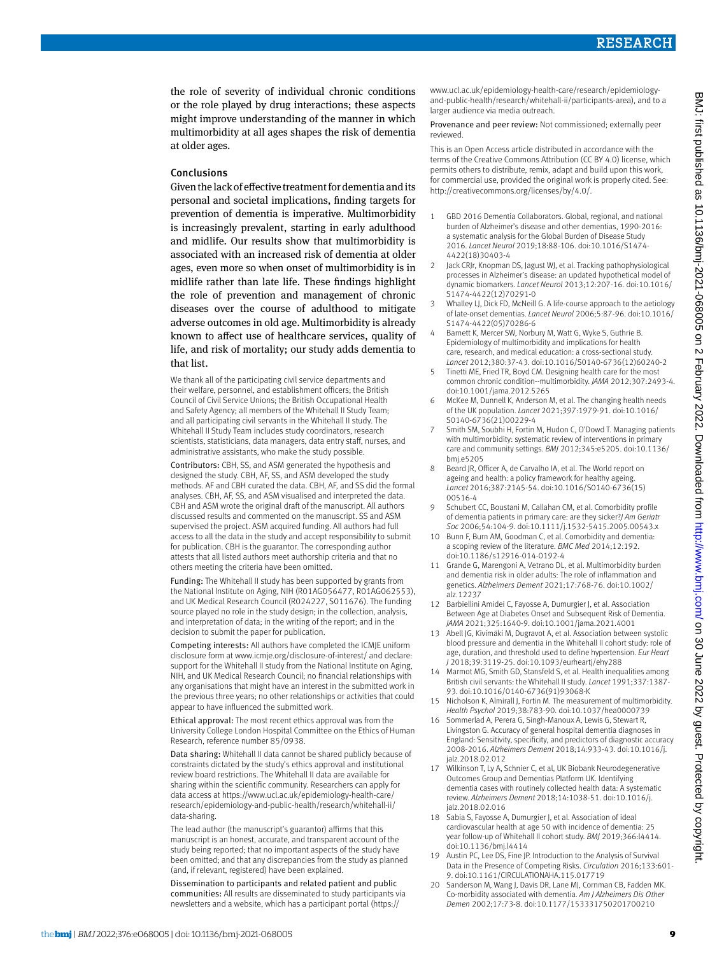the role of severity of individual chronic conditions or the role played by drug interactions; these aspects might improve understanding of the manner in which multimorbidity at all ages shapes the risk of dementia at older ages.

#### Conclusions

Given the lack of effective treatment for dementia and its personal and societal implications, finding targets for prevention of dementia is imperative. Multimorbidity is increasingly prevalent, starting in early adulthood and midlife. Our results show that multimorbidity is associated with an increased risk of dementia at older ages, even more so when onset of multimorbidity is in midlife rather than late life. These findings highlight the role of prevention and management of chronic diseases over the course of adulthood to mitigate adverse outcomes in old age. Multimorbidity is already known to affect use of healthcare services, quality of life, and risk of mortality; our study adds dementia to that list.

We thank all of the participating civil service departments and their welfare, personnel, and establishment officers; the British Council of Civil Service Unions; the British Occupational Health and Safety Agency; all members of the Whitehall II Study Team; and all participating civil servants in the Whitehall II study. The Whitehall II Study Team includes study coordinators, research scientists, statisticians, data managers, data entry staff, nurses, and administrative assistants, who make the study possible.

Contributors: CBH, SS, and ASM generated the hypothesis and designed the study. CBH, AF, SS, and ASM developed the study methods. AF and CBH curated the data. CBH, AF, and SS did the formal analyses. CBH, AF, SS, and ASM visualised and interpreted the data. CBH and ASM wrote the original draft of the manuscript. All authors discussed results and commented on the manuscript. SS and ASM supervised the project. ASM acquired funding. All authors had full access to all the data in the study and accept responsibility to submit for publication. CBH is the guarantor. The corresponding author attests that all listed authors meet authorship criteria and that no others meeting the criteria have been omitted.

Funding: The Whitehall II study has been supported by grants from the National Institute on Aging, NIH (R01AG056477, R01AG062553), and UK Medical Research Council (R024227, S011676). The funding source played no role in the study design; in the collection, analysis, and interpretation of data; in the writing of the report; and in the decision to submit the paper for publication.

Competing interests: All authors have completed the ICMJE uniform disclosure form at [www.icmje.org/disclosure-of-interest/](http://www.icmje.org/disclosure-of-interest/) and declare: support for the Whitehall II study from the National Institute on Aging, NIH, and UK Medical Research Council; no financial relationships with any organisations that might have an interest in the submitted work in the previous three years; no other relationships or activities that could appear to have influenced the submitted work.

Ethical approval: The most recent ethics approval was from the University College London Hospital Committee on the Ethics of Human Research, reference number 85/0938.

Data sharing: Whitehall II data cannot be shared publicly because of constraints dictated by the study's ethics approval and institutional review board restrictions. The Whitehall II data are available for sharing within the scientific community. Researchers can apply for data access at [https://www.ucl.ac.uk/epidemiology-health-care/](https://www.ucl.ac.uk/epidemiology-health-care/research/epidemiology-and-public-health/research/whitehall-ii/data-sharing) [research/epidemiology-and-public-health/research/whitehall-ii/](https://www.ucl.ac.uk/epidemiology-health-care/research/epidemiology-and-public-health/research/whitehall-ii/data-sharing) [data-sharing](https://www.ucl.ac.uk/epidemiology-health-care/research/epidemiology-and-public-health/research/whitehall-ii/data-sharing).

The lead author (the manuscript's guarantor) affirms that this manuscript is an honest, accurate, and transparent account of the study being reported; that no important aspects of the study have been omitted; and that any discrepancies from the study as planned (and, if relevant, registered) have been explained.

Dissemination to participants and related patient and public communities: All results are disseminated to study participants via newsletters and a website, which has a participant portal [\(https://](https://www.ucl.ac.uk/epidemiology-health-care/research/epidemiology-and-public-health/research/whitehall-ii/participants-area)

[www.ucl.ac.uk/epidemiology-health-care/research/epidemiology](https://www.ucl.ac.uk/epidemiology-health-care/research/epidemiology-and-public-health/research/whitehall-ii/participants-area)[and-public-health/research/whitehall-ii/participants-area](https://www.ucl.ac.uk/epidemiology-health-care/research/epidemiology-and-public-health/research/whitehall-ii/participants-area)), and to a larger audience via media outreach.

Provenance and peer review: Not commissioned; externally peer reviewed.

This is an Open Access article distributed in accordance with the terms of the Creative Commons Attribution (CC BY 4.0) license, which permits others to distribute, remix, adapt and build upon this work, for commercial use, provided the original work is properly cited. See: http://creativecommons.org/licenses/by/4.0/.

- 1 GBD 2016 Dementia Collaborators. Global, regional, and national burden of Alzheimer's disease and other dementias, 1990-2016: a systematic analysis for the Global Burden of Disease Study 2016. *Lancet Neurol* 2019;18:88-106. doi:10.1016/S1474- 4422(18)30403-4
- 2 Jack CRJr, Knopman DS, Jagust WJ, et al. Tracking pathophysiological processes in Alzheimer's disease: an updated hypothetical model of dynamic biomarkers. *Lancet Neurol* 2013;12:207-16. doi:10.1016/ S1474-4422(12)70291-0
- Whalley LJ, Dick FD, McNeill G. A life-course approach to the aetiology of late-onset dementias. *Lancet Neurol* 2006;5:87-96. doi:10.1016/ S1474-4422(05)70286-6
- Barnett K, Mercer SW, Norbury M, Watt G, Wyke S, Guthrie B. Epidemiology of multimorbidity and implications for health care, research, and medical education: a cross-sectional study. *Lancet* 2012;380:37-43. doi:10.1016/S0140-6736(12)60240-2
- 5 Tinetti ME, Fried TR, Boyd CM. Designing health care for the most common chronic condition--multimorbidity. *JAMA* 2012;307:2493-4. doi:10.1001/jama.2012.5265
- 6 McKee M, Dunnell K, Anderson M, et al. The changing health needs of the UK population. *Lancet* 2021;397:1979-91. doi:10.1016/ S0140-6736(21)00229-4
- 7 Smith SM, Soubhi H, Fortin M, Hudon C, O'Dowd T. Managing patients with multimorbidity: systematic review of interventions in primary care and community settings. *BMJ* 2012;345:e5205. doi:10.1136/ bmj.e5205
- 8 Beard JR, Officer A, de Carvalho IA, et al. The World report on ageing and health: a policy framework for healthy ageing. *Lancet* 2016;387:2145-54. doi:10.1016/S0140-6736(15) 00516-4
- 9 Schubert CC, Boustani M, Callahan CM, et al. Comorbidity profile of dementia patients in primary care: are they sicker?*J Am Geriatr Soc* 2006;54:104-9. doi:10.1111/j.1532-5415.2005.00543.x
- 10 Bunn F, Burn AM, Goodman C, et al. Comorbidity and dementia: a scoping review of the literature. *BMC Med* 2014;12:192. doi:10.1186/s12916-014-0192-4
- 11 Grande G, Marengoni A, Vetrano DL, et al. Multimorbidity burden and dementia risk in older adults: The role of inflammation and genetics. *Alzheimers Dement* 2021;17:768-76. doi:10.1002/ alz.12237
- 12 Barbiellini Amidei C, Fayosse A, Dumurgier J, et al. Association Between Age at Diabetes Onset and Subsequent Risk of Dementia. *JAMA* 2021;325:1640-9. doi:10.1001/jama.2021.4001
- 13 Abell JG, Kivimäki M, Dugravot A, et al. Association between systolic blood pressure and dementia in the Whitehall II cohort study: role of age, duration, and threshold used to define hypertension. *Eur Heart J* 2018;39:3119-25. doi:10.1093/eurheartj/ehy288
- 14 Marmot MG, Smith GD, Stansfeld S, et al. Health inequalities among British civil servants: the Whitehall II study. *Lancet* 1991;337:1387- 93. doi:10.1016/0140-6736(91)93068-K
- 15 Nicholson K, Almirall J, Fortin M. The measurement of multimorbidity. *Health Psychol* 2019;38:783-90. doi:10.1037/hea0000739
- 16 Sommerlad A, Perera G, Singh-Manoux A, Lewis G, Stewart R, Livingston G. Accuracy of general hospital dementia diagnoses in England: Sensitivity, specificity, and predictors of diagnostic accuracy 2008-2016. *Alzheimers Dement* 2018;14:933-43. doi:10.1016/j. jalz.2018.02.012
- 17 Wilkinson T, Ly A, Schnier C, et al, UK Biobank Neurodegenerative Outcomes Group and Dementias Platform UK. Identifying dementia cases with routinely collected health data: A systematic review. *Alzheimers Dement* 2018;14:1038-51. doi:10.1016/j. jalz.2018.02.016
- 18 Sabia S, Fayosse A, Dumurgier J, et al. Association of ideal cardiovascular health at age 50 with incidence of dementia: 25 year follow-up of Whitehall II cohort study. *BMJ* 2019;366:l4414. doi:10.1136/bmj.l4414
- 19 Austin PC, Lee DS, Fine JP. Introduction to the Analysis of Survival Data in the Presence of Competing Risks. *Circulation* 2016;133:601- 9. doi:10.1161/CIRCULATIONAHA.115.017719
- 20 Sanderson M, Wang J, Davis DR, Lane MJ, Cornman CB, Fadden MK. Co-morbidity associated with dementia. *Am J Alzheimers Dis Other Demen* 2002;17:73-8. doi:10.1177/153331750201700210